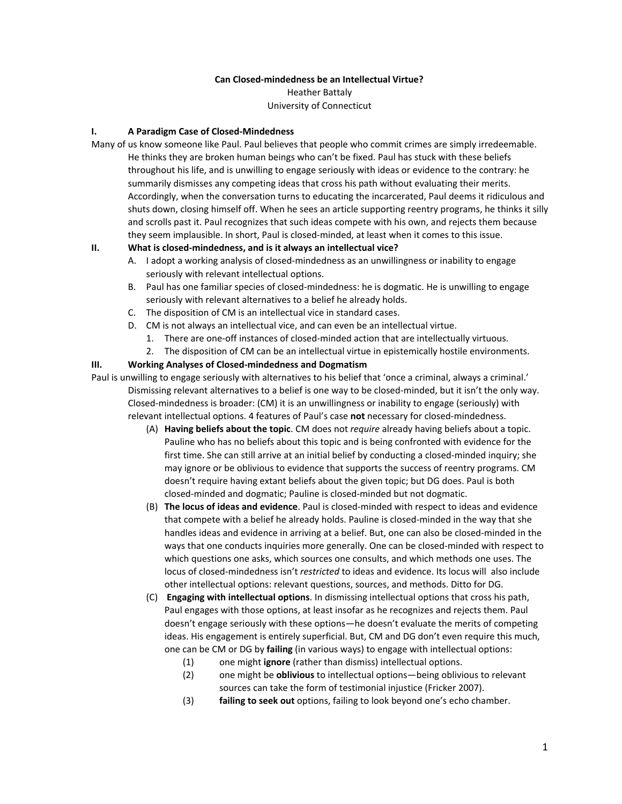#### **Can Closed-mindedness be an Intellectual Virtue?**

Heather Battaly University of Connecticut

#### **I. A Paradigm Case of Closed-Mindedness**

Many of us know someone like Paul. Paul believes that people who commit crimes are simply irredeemable. He thinks they are broken human beings who can't be fixed. Paul has stuck with these beliefs throughout his life, and is unwilling to engage seriously with ideas or evidence to the contrary: he summarily dismisses any competing ideas that cross his path without evaluating their merits. Accordingly, when the conversation turns to educating the incarcerated, Paul deems it ridiculous and shuts down, closing himself off. When he sees an article supporting reentry programs, he thinks it silly and scrolls past it. Paul recognizes that such ideas compete with his own, and rejects them because they seem implausible. In short, Paul is closed-minded, at least when it comes to this issue.

#### **II. What is closed-mindedness, and is it always an intellectual vice?**

- A. I adopt a working analysis of closed-mindedness as an unwillingness or inability to engage seriously with relevant intellectual options.
- B. Paul has one familiar species of closed-mindedness: he is dogmatic. He is unwilling to engage seriously with relevant alternatives to a belief he already holds.
- C. The disposition of CM is an intellectual vice in standard cases.
- D. CM is not always an intellectual vice, and can even be an intellectual virtue.
	- 1. There are one-off instances of closed-minded action that are intellectually virtuous.
	- 2. The disposition of CM can be an intellectual virtue in epistemically hostile environments.

#### **III. Working Analyses of Closed-mindedness and Dogmatism**

Paul is unwilling to engage seriously with alternatives to his belief that 'once a criminal, always a criminal.' Dismissing relevant alternatives to a belief is one way to be closed-minded, but it isn't the only way. Closed-mindedness is broader: (CM) it is an unwillingness or inability to engage (seriously) with relevant intellectual options. 4 features of Paul's case **not** necessary for closed-mindedness.

- (A) **Having beliefs about the topic**. CM does not *require* already having beliefs about a topic. Pauline who has no beliefs about this topic and is being confronted with evidence for the first time. She can still arrive at an initial belief by conducting a closed-minded inquiry; she may ignore or be oblivious to evidence that supports the success of reentry programs. CM doesn't require having extant beliefs about the given topic; but DG does. Paul is both closed-minded and dogmatic; Pauline is closed-minded but not dogmatic.
- (B) **The locus of ideas and evidence**. Paul is closed-minded with respect to ideas and evidence that compete with a belief he already holds. Pauline is closed-minded in the way that she handles ideas and evidence in arriving at a belief. But, one can also be closed-minded in the ways that one conducts inquiries more generally. One can be closed-minded with respect to which questions one asks, which sources one consults, and which methods one uses. The locus of closed-mindedness isn't *restricted* to ideas and evidence. Its locus will also include other intellectual options: relevant questions, sources, and methods. Ditto for DG.
- (C) **Engaging with intellectual options**. In dismissing intellectual options that cross his path, Paul engages with those options, at least insofar as he recognizes and rejects them. Paul doesn't engage seriously with these options—he doesn't evaluate the merits of competing ideas. His engagement is entirely superficial. But, CM and DG don't even require this much, one can be CM or DG by **failing** (in various ways) to engage with intellectual options:
	- (1) one might **ignore** (rather than dismiss) intellectual options.<br>(2) one might be **oblivious** to intellectual options—being oblivi
	- (2) one might be **oblivious** to intellectual options—being oblivious to relevant sources can take the form of testimonial injustice (Fricker 2007).
	- (3) **failing to seek out** options, failing to look beyond one's echo chamber.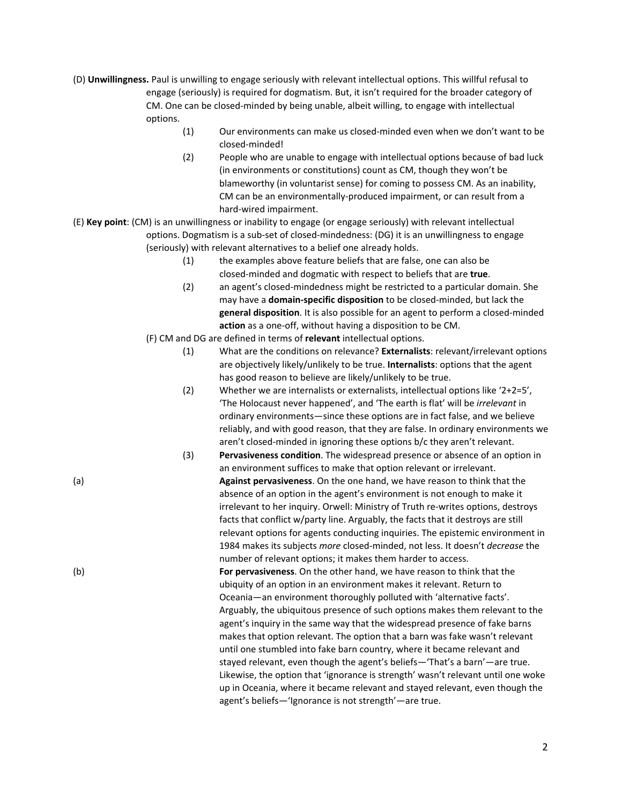- (D) **Unwillingness.** Paul is unwilling to engage seriously with relevant intellectual options. This willful refusal to engage (seriously) is required for dogmatism. But, it isn't required for the broader category of CM. One can be closed-minded by being unable, albeit willing, to engage with intellectual options.
	- (1) Our environments can make us closed-minded even when we don't want to be closed-minded!
		- (2) People who are unable to engage with intellectual options because of bad luck (in environments or constitutions) count as CM, though they won't be blameworthy (in voluntarist sense) for coming to possess CM. As an inability, CM can be an environmentally-produced impairment, or can result from a hard-wired impairment.
- (E) **Key point**: (CM) is an unwillingness or inability to engage (or engage seriously) with relevant intellectual options. Dogmatism is a sub-set of closed-mindedness: (DG) it is an unwillingness to engage (seriously) with relevant alternatives to a belief one already holds.
	- (1) the examples above feature beliefs that are false, one can also be closed-minded and dogmatic with respect to beliefs that are **true**.
	- (2) an agent's closed-mindedness might be restricted to a particular domain. She may have a **domain-specific disposition** to be closed-minded, but lack the **general disposition**. It is also possible for an agent to perform a closed-minded **action** as a one-off, without having a disposition to be CM.
	- (F) CM and DG are defined in terms of **relevant** intellectual options.
		- (1) What are the conditions on relevance? **Externalists**: relevant/irrelevant options are objectively likely/unlikely to be true. **Internalists**: options that the agent has good reason to believe are likely/unlikely to be true.
		- (2) Whether we are internalists or externalists, intellectual options like '2+2=5', 'The Holocaust never happened', and 'The earth is flat' will be *irrelevant* in ordinary environments—since these options are in fact false, and we believe reliably, and with good reason, that they are false. In ordinary environments we aren't closed-minded in ignoring these options b/c they aren't relevant.
- (3) **Pervasiveness condition**. The widespread presence or absence of an option in an environment suffices to make that option relevant or irrelevant. (a) **Against pervasiveness**. On the one hand, we have reason to think that the absence of an option in the agent's environment is not enough to make it irrelevant to her inquiry. Orwell: Ministry of Truth re-writes options, destroys facts that conflict w/party line. Arguably, the facts that it destroys are still relevant options for agents conducting inquiries. The epistemic environment in 1984 makes its subjects *more* closed-minded, not less. It doesn't *decrease* the number of relevant options; it makes them harder to access. (b) **For pervasiveness**. On the other hand, we have reason to think that the ubiquity of an option in an environment makes it relevant. Return to Oceania—an environment thoroughly polluted with 'alternative facts'. Arguably, the ubiquitous presence of such options makes them relevant to the agent's inquiry in the same way that the widespread presence of fake barns makes that option relevant. The option that a barn was fake wasn't relevant until one stumbled into fake barn country, where it became relevant and stayed relevant, even though the agent's beliefs—'That's a barn'—are true. Likewise, the option that 'ignorance is strength' wasn't relevant until one woke up in Oceania, where it became relevant and stayed relevant, even though the agent's beliefs—'Ignorance is not strength'—are true.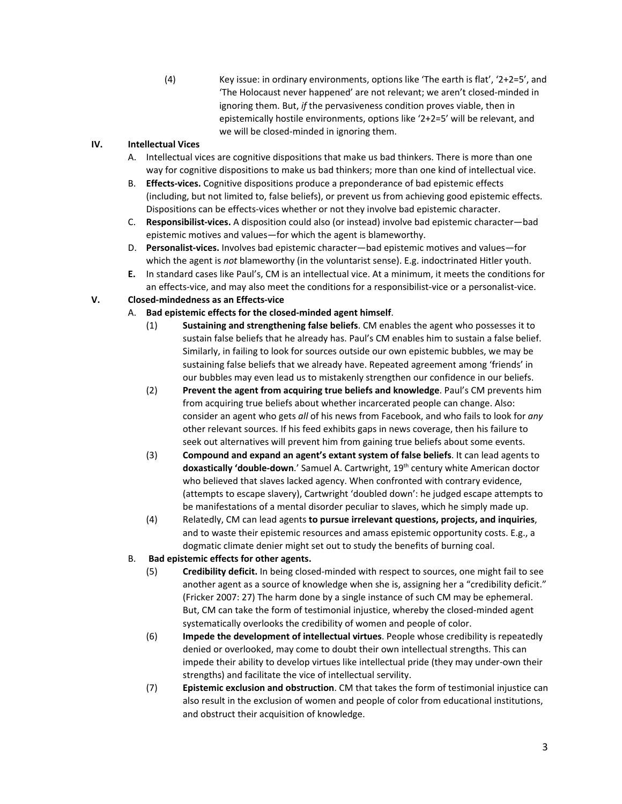(4) Key issue: in ordinary environments, options like 'The earth is flat',  $2+2=5'$ , and 'The Holocaust never happened' are not relevant; we aren't closed-minded in ignoring them. But, *if* the pervasiveness condition proves viable, then in epistemically hostile environments, options like '2+2=5' will be relevant, and we will be closed-minded in ignoring them.

### **IV. Intellectual Vices**

- A. Intellectual vices are cognitive dispositions that make us bad thinkers. There is more than one way for cognitive dispositions to make us bad thinkers; more than one kind of intellectual vice.
- B. **Effects-vices.** Cognitive dispositions produce a preponderance of bad epistemic effects (including, but not limited to, false beliefs), or prevent us from achieving good epistemic effects. Dispositions can be effects-vices whether or not they involve bad epistemic character.
- C. **Responsibilist-vices.** A disposition could also (or instead) involve bad epistemic character—bad epistemic motives and values—for which the agent is blameworthy.
- D. **Personalist-vices.** Involves bad epistemic character—bad epistemic motives and values—for which the agent is *not* blameworthy (in the voluntarist sense). E.g. indoctrinated Hitler youth.
- **E.** In standard cases like Paul's, CM is an intellectual vice. At a minimum, it meets the conditions for an effects-vice, and may also meet the conditions for a responsibilist-vice or a personalist-vice.

# **V. Closed-mindedness as an Effects-vice**

- A. **Bad epistemic effects for the closed-minded agent himself**.
	- (1) **Sustaining and strengthening false beliefs**. CM enables the agent who possesses it to sustain false beliefs that he already has. Paul's CM enables him to sustain a false belief. Similarly, in failing to look for sources outside our own epistemic bubbles, we may be sustaining false beliefs that we already have. Repeated agreement among 'friends' in our bubbles may even lead us to mistakenly strengthen our confidence in our beliefs.
	- (2) **Prevent the agent from acquiring true beliefs and knowledge**. Paul's CM prevents him from acquiring true beliefs about whether incarcerated people can change. Also: consider an agent who gets *all* of his news from Facebook, and who fails to look for *any* other relevant sources. If his feed exhibits gaps in news coverage, then his failure to seek out alternatives will prevent him from gaining true beliefs about some events.
	- (3) **Compound and expand an agent's extant system of false beliefs**. It can lead agents to **doxastically 'double-down**.' Samuel A. Cartwright, 19 th century white American doctor who believed that slaves lacked agency. When confronted with contrary evidence, (attempts to escape slavery), Cartwright 'doubled down': he judged escape attempts to be manifestations of a mental disorder peculiar to slaves, which he simply made up.
	- (4) Relatedly, CM can lead agents **to pursue irrelevant questions, projects, and inquiries**, and to waste their epistemic resources and amass epistemic opportunity costs. E.g., a dogmatic climate denier might set out to study the benefits of burning coal.

### B. **Bad epistemic effects for other agents.**

- (5) **Credibility deficit.** In being closed-minded with respect to sources, one might fail to see another agent as a source of knowledge when she is, assigning her a "credibility deficit." (Fricker 2007: 27) The harm done by a single instance of such CM may be ephemeral. But, CM can take the form of testimonial injustice, whereby the closed-minded agent systematically overlooks the credibility of women and people of color.
- (6) **Impede the development of intellectual virtues**. People whose credibility is repeatedly denied or overlooked, may come to doubt their own intellectual strengths. This can impede their ability to develop virtues like intellectual pride (they may under-own their strengths) and facilitate the vice of intellectual servility.
- (7) **Epistemic exclusion and obstruction**. CM that takes the form of testimonial injustice can also result in the exclusion of women and people of color from educational institutions, and obstruct their acquisition of knowledge.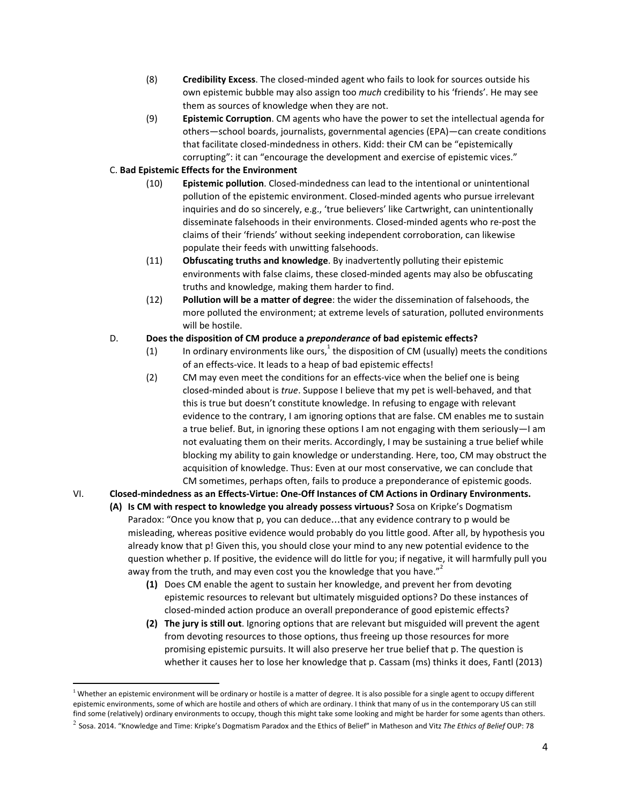- (8) **Credibility Excess**. The closed-minded agent who fails to look for sources outside his own epistemic bubble may also assign too *much* credibility to his 'friends'. He may see them as sources of knowledge when they are not.
- (9) **Epistemic Corruption**. CM agents who have the power to set the intellectual agenda for others—school boards, journalists, governmental agencies (EPA)—can create conditions that facilitate closed-mindedness in others. Kidd: their CM can be "epistemically corrupting": it can "encourage the development and exercise of epistemic vices."

### C. **Bad Epistemic Effects for the Environment**

- (10) **Epistemic pollution**. Closed-mindedness can lead to the intentional or unintentional pollution of the epistemic environment. Closed-minded agents who pursue irrelevant inquiries and do so sincerely, e.g., 'true believers' like Cartwright, can unintentionally disseminate falsehoods in their environments. Closed-minded agents who re-post the claims of their 'friends' without seeking independent corroboration, can likewise populate their feeds with unwitting falsehoods.
- (11) **Obfuscating truths and knowledge**. By inadvertently polluting their epistemic environments with false claims, these closed-minded agents may also be obfuscating truths and knowledge, making them harder to find.
- (12) **Pollution will be a matter of degree**: the wider the dissemination of falsehoods, the more polluted the environment; at extreme levels of saturation, polluted environments will be hostile.

# D. **Does the disposition of CM produce a** *preponderance* **of bad epistemic effects?**

- (1) In ordinary environments like ours, <sup>1</sup> the disposition of CM (usually) meets the conditions of an effects-vice. It leads to a heap of bad epistemic effects!
- (2) CM may even meet the conditions for an effects-vice when the belief one is being closed-minded about is *true*. Suppose I believe that my pet is well-behaved, and that this is true but doesn't constitute knowledge. In refusing to engage with relevant evidence to the contrary, I am ignoring options that are false. CM enables me to sustain a true belief. But, in ignoring these options I am not engaging with them seriously—I am not evaluating them on their merits. Accordingly, I may be sustaining a true belief while blocking my ability to gain knowledge or understanding. Here, too, CM may obstruct the acquisition of knowledge. Thus: Even at our most conservative, we can conclude that CM sometimes, perhaps often, fails to produce a preponderance of epistemic goods.

# VI. **Closed-mindedness as an Effects-Virtue: One-Off Instances of CM Actions in Ordinary Environments.**

- **(A) Is CM with respect to knowledge you already possess virtuous?** Sosa on Kripke's Dogmatism Paradox: "Once you know that p, you can deduce…that any evidence contrary to p would be misleading, whereas positive evidence would probably do you little good. After all, by hypothesis you already know that p! Given this, you should close your mind to any new potential evidence to the question whether p. If positive, the evidence will do little for you; if negative, it will harmfully pull you away from the truth, and may even cost you the knowledge that you have."<sup>2</sup>
	- **(1)** Does CM enable the agent to sustain her knowledge, and prevent her from devoting epistemic resources to relevant but ultimately misguided options? Do these instances of closed-minded action produce an overall preponderance of good epistemic effects?
	- **(2) The jury is still out**. Ignoring options that are relevant but misguided will prevent the agent from devoting resources to those options, thus freeing up those resources for more promising epistemic pursuits. It will also preserve her true belief that p. The question is whether it causes her to lose her knowledge that p. Cassam (ms) thinks it does, Fantl (2013)

 $1$  Whether an epistemic environment will be ordinary or hostile is a matter of degree. It is also possible for a single agent to occupy different epistemic environments, some of which are hostile and others of which are ordinary. I think that many of us in the contemporary US can still find some (relatively) ordinary environments to occupy, though this might take some looking and might be harder for some agents than others.

<sup>2</sup> Sosa. 2014. "Knowledge and Time: Kripke's Dogmatism Paradox and the Ethics of Belief" in Matheson and Vitz *The Ethics of Belief* OUP: 78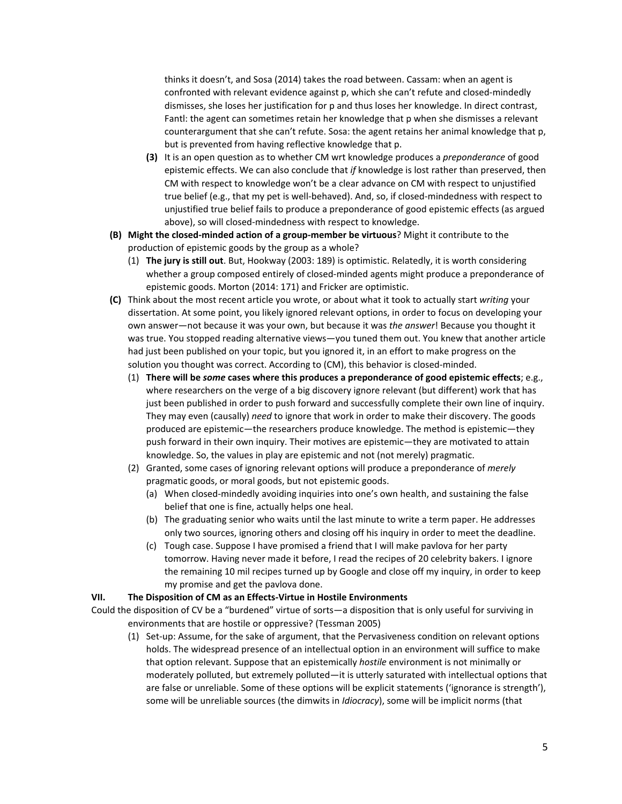thinks it doesn't, and Sosa (2014) takes the road between. Cassam: when an agent is confronted with relevant evidence against p, which she can't refute and closed-mindedly dismisses, she loses her justification for p and thus loses her knowledge. In direct contrast, Fantl: the agent can sometimes retain her knowledge that p when she dismisses a relevant counterargument that she can't refute. Sosa: the agent retains her animal knowledge that p, but is prevented from having reflective knowledge that p.

- **(3)** It is an open question as to whether CM wrt knowledge produces a *preponderance* of good epistemic effects. We can also conclude that *if* knowledge is lost rather than preserved, then CM with respect to knowledge won't be a clear advance on CM with respect to unjustified true belief (e.g., that my pet is well-behaved). And, so, if closed-mindedness with respect to unjustified true belief fails to produce a preponderance of good epistemic effects (as argued above), so will closed-mindedness with respect to knowledge.
- **(B) Might the closed-minded action of a group-member be virtuous**? Might it contribute to the production of epistemic goods by the group as a whole?
	- (1) **The jury is still out**. But, Hookway (2003: 189) is optimistic. Relatedly, it is worth considering whether a group composed entirely of closed-minded agents might produce a preponderance of epistemic goods. Morton (2014: 171) and Fricker are optimistic.
- **(C)** Think about the most recent article you wrote, or about what it took to actually start *writing* your dissertation. At some point, you likely ignored relevant options, in order to focus on developing your own answer—not because it was your own, but because it was *the answer*! Because you thought it was true. You stopped reading alternative views—you tuned them out. You knew that another article had just been published on your topic, but you ignored it, in an effort to make progress on the solution you thought was correct. According to (CM), this behavior is closed-minded.
	- (1) **There will be** *some* **cases where this produces a preponderance of good epistemic effects**; e.g., where researchers on the verge of a big discovery ignore relevant (but different) work that has just been published in order to push forward and successfully complete their own line of inquiry. They may even (causally) *need* to ignore that work in order to make their discovery. The goods produced are epistemic—the researchers produce knowledge. The method is epistemic—they push forward in their own inquiry. Their motives are epistemic—they are motivated to attain knowledge. So, the values in play are epistemic and not (not merely) pragmatic.
	- (2) Granted, some cases of ignoring relevant options will produce a preponderance of *merely* pragmatic goods, or moral goods, but not epistemic goods.
		- (a) When closed-mindedly avoiding inquiries into one's own health, and sustaining the false belief that one is fine, actually helps one heal.
		- (b) The graduating senior who waits until the last minute to write a term paper. He addresses only two sources, ignoring others and closing off his inquiry in order to meet the deadline.
		- (c) Tough case. Suppose I have promised a friend that I will make pavlova for her party tomorrow. Having never made it before, I read the recipes of 20 celebrity bakers. I ignore the remaining 10 mil recipes turned up by Google and close off my inquiry, in order to keep my promise and get the pavlova done.

#### **VII. The Disposition of CM as an Effects-Virtue in Hostile Environments**

Could the disposition of CV be a "burdened" virtue of sorts—a disposition that is only useful for surviving in environments that are hostile or oppressive? (Tessman 2005)

(1) Set-up: Assume, for the sake of argument, that the Pervasiveness condition on relevant options holds. The widespread presence of an intellectual option in an environment will suffice to make that option relevant. Suppose that an epistemically *hostile* environment is not minimally or moderately polluted, but extremely polluted—it is utterly saturated with intellectual options that are false or unreliable. Some of these options will be explicit statements ('ignorance is strength'), some will be unreliable sources (the dimwits in *Idiocracy*), some will be implicit norms (that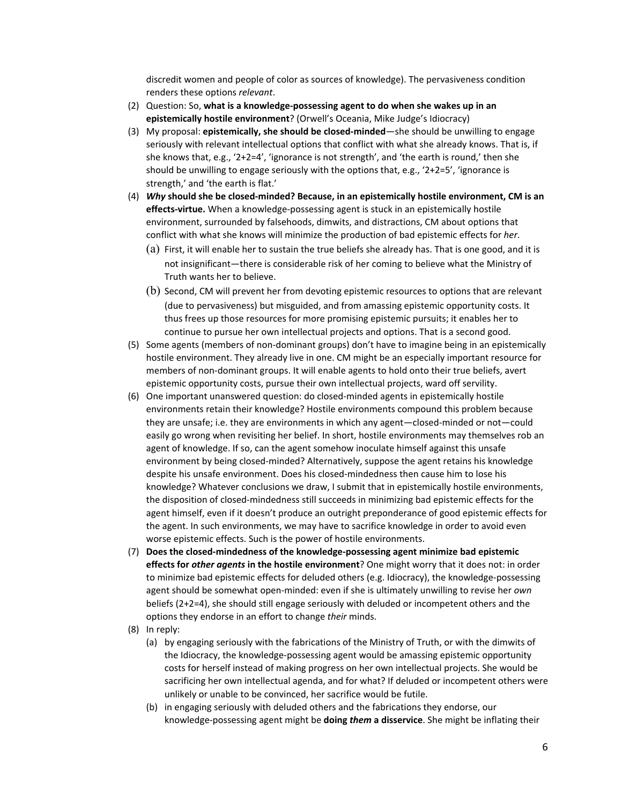discredit women and people of color as sources of knowledge). The pervasiveness condition renders these options *relevant*.

- (2) Question: So, **what is a knowledge-possessing agent to do when she wakes up in an epistemically hostile environment**? (Orwell's Oceania, Mike Judge's Idiocracy)
- (3) My proposal: **epistemically, she should be closed-minded**—she should be unwilling to engage seriously with relevant intellectual options that conflict with what she already knows. That is, if she knows that, e.g., '2+2=4', 'ignorance is not strength', and 'the earth is round,' then she should be unwilling to engage seriously with the options that, e.g., '2+2=5', 'ignorance is strength,' and 'the earth is flat.'
- (4) *Why* **should she be closed-minded? Because, in an epistemically hostile environment, CM is an effects-virtue.** When a knowledge-possessing agent is stuck in an epistemically hostile environment, surrounded by falsehoods, dimwits, and distractions, CM about options that conflict with what she knows will minimize the production of bad epistemic effects for *her*.
	- (a) First, it will enable her to sustain the true beliefs she already has. That is one good, and it is not insignificant—there is considerable risk of her coming to believe what the Ministry of Truth wants her to believe.
	- (b) Second, CM will prevent her from devoting epistemic resources to options that are relevant (due to pervasiveness) but misguided, and from amassing epistemic opportunity costs. It thus frees up those resources for more promising epistemic pursuits; it enables her to continue to pursue her own intellectual projects and options. That is a second good.
- (5) Some agents (members of non-dominant groups) don't have to imagine being in an epistemically hostile environment. They already live in one. CM might be an especially important resource for members of non-dominant groups. It will enable agents to hold onto their true beliefs, avert epistemic opportunity costs, pursue their own intellectual projects, ward off servility.
- (6) One important unanswered question: do closed-minded agents in epistemically hostile environments retain their knowledge? Hostile environments compound this problem because they are unsafe; i.e. they are environments in which any agent—closed-minded or not—could easily go wrong when revisiting her belief. In short, hostile environments may themselves rob an agent of knowledge. If so, can the agent somehow inoculate himself against this unsafe environment by being closed-minded? Alternatively, suppose the agent retains his knowledge despite his unsafe environment. Does his closed-mindedness then cause him to lose his knowledge? Whatever conclusions we draw, I submit that in epistemically hostile environments, the disposition of closed-mindedness still succeeds in minimizing bad epistemic effects for the agent himself, even if it doesn't produce an outright preponderance of good epistemic effects for the agent. In such environments, we may have to sacrifice knowledge in order to avoid even worse epistemic effects. Such is the power of hostile environments.
- (7) **Does the closed-mindedness of the knowledge-possessing agent minimize bad epistemic effects for** *other agents* **in the hostile environment**? One might worry that it does not: in order to minimize bad epistemic effects for deluded others (e.g. Idiocracy), the knowledge-possessing agent should be somewhat open-minded: even if she is ultimately unwilling to revise her *own* beliefs (2+2=4), she should still engage seriously with deluded or incompetent others and the options they endorse in an effort to change *their* minds.
- (8) In reply:
	- (a) by engaging seriously with the fabrications of the Ministry of Truth, or with the dimwits of the Idiocracy, the knowledge-possessing agent would be amassing epistemic opportunity costs for herself instead of making progress on her own intellectual projects. She would be sacrificing her own intellectual agenda, and for what? If deluded or incompetent others were unlikely or unable to be convinced, her sacrifice would be futile.
	- (b) in engaging seriously with deluded others and the fabrications they endorse, our knowledge-possessing agent might be **doing** *them* **a disservice**. She might be inflating their